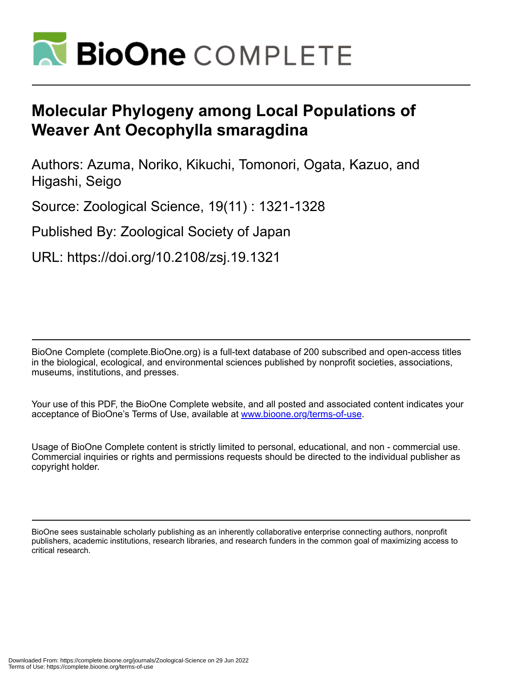

# **Molecular Phylogeny among Local Populations of Weaver Ant Oecophylla smaragdina**

Authors: Azuma, Noriko, Kikuchi, Tomonori, Ogata, Kazuo, and Higashi, Seigo

Source: Zoological Science, 19(11) : 1321-1328

Published By: Zoological Society of Japan

URL: https://doi.org/10.2108/zsj.19.1321

BioOne Complete (complete.BioOne.org) is a full-text database of 200 subscribed and open-access titles in the biological, ecological, and environmental sciences published by nonprofit societies, associations, museums, institutions, and presses.

Your use of this PDF, the BioOne Complete website, and all posted and associated content indicates your acceptance of BioOne's Terms of Use, available at www.bioone.org/terms-of-use.

Usage of BioOne Complete content is strictly limited to personal, educational, and non - commercial use. Commercial inquiries or rights and permissions requests should be directed to the individual publisher as copyright holder.

BioOne sees sustainable scholarly publishing as an inherently collaborative enterprise connecting authors, nonprofit publishers, academic institutions, research libraries, and research funders in the common goal of maximizing access to critical research.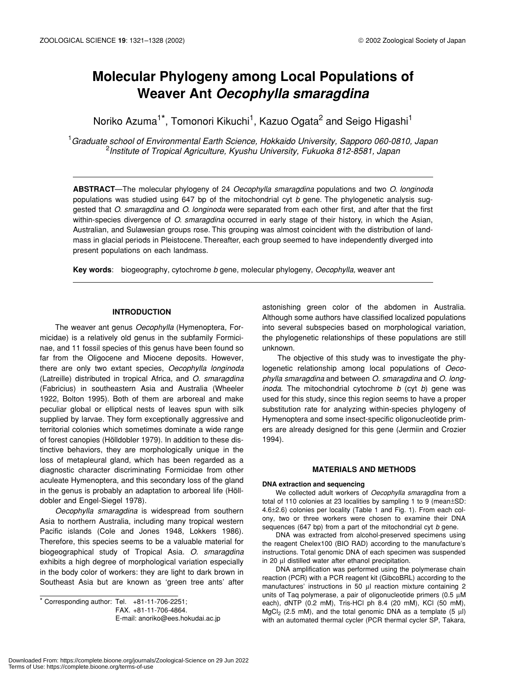# **Molecular Phylogeny among Local Populations of Weaver Ant** *Oecophylla smaragdina*

Noriko Azuma<sup>1\*</sup>, Tomonori Kikuchi<sup>1</sup>, Kazuo Ogata<sup>2</sup> and Seigo Higashi<sup>1</sup>

1 *Graduate school of Environmental Earth Science, Hokkaido University, Sapporo 060-0810, Japan* 2 *Institute of Tropical Agriculture, Kyushu University, Fukuoka 812-8581, Japan*

**ABSTRACT**—The molecular phylogeny of 24 *Oecophylla smaragdina* populations and two *O. longinoda* populations was studied using 647 bp of the mitochondrial cyt *b* gene. The phylogenetic analysis suggested that *O. smaragdina* and *O. longinoda* were separated from each other first, and after that the first within-species divergence of *O. smaragdina* occurred in early stage of their history, in which the Asian, Australian, and Sulawesian groups rose. This grouping was almost coincident with the distribution of landmass in glacial periods in Pleistocene. Thereafter, each group seemed to have independently diverged into present populations on each landmass.

**Key words**: biogeography, cytochrome *b* gene, molecular phylogeny, *Oecophylla,* weaver ant

# **INTRODUCTION**

The weaver ant genus *Oecophylla* (Hymenoptera, Formicidae) is a relatively old genus in the subfamily Formicinae, and 11 fossil species of this genus have been found so far from the Oligocene and Miocene deposits. However, there are only two extant species, *Oecophylla longinoda* (Latreille) distributed in tropical Africa, and *O. smaragdina* (Fabricius) in southeastern Asia and Australia (Wheeler 1922, Bolton 1995). Both of them are arboreal and make peculiar global or elliptical nests of leaves spun with silk supplied by larvae. They form exceptionally aggressive and territorial colonies which sometimes dominate a wide range of forest canopies (Hölldobler 1979). In addition to these distinctive behaviors, they are morphologically unique in the loss of metapleural gland, which has been regarded as a diagnostic character discriminating Formicidae from other aculeate Hymenoptera, and this secondary loss of the gland in the genus is probably an adaptation to arboreal life (Hölldobler and Engel-Siegel 1978).

*Oecophylla smaragdina* is widespread from southern Asia to northern Australia, including many tropical western Pacific islands (Cole and Jones 1948, Lokkers 1986). Therefore, this species seems to be a valuable material for biogeographical study of Tropical Asia. *O. smaragdina* exhibits a high degree of morphological variation especially in the body color of workers: they are light to dark brown in Southeast Asia but are known as 'green tree ants' after

 $*$  Corresponding author: Tel.  $+81-11-706-2251$ ; FAX. +81-11-706-4864. E-mail: anoriko@ees.hokudai.ac.jp

astonishing green color of the abdomen in Australia. Although some authors have classified localized populations into several subspecies based on morphological variation, the phylogenetic relationships of these populations are still unknown.

The objective of this study was to investigate the phylogenetic relationship among local populations of *Oecophylla smaragdina* and between *O. smaragdina* and *O. longinoda*. The mitochondrial cytochrome *b* (cyt *b*) gene was used for this study, since this region seems to have a proper substitution rate for analyzing within-species phylogeny of Hymenoptera and some insect-specific oligonucleotide primers are already designed for this gene (Jermiin and Crozier 1994).

# **MATERIALS AND METHODS**

#### **DNA extraction and sequencing**

We collected adult workers of *Oecophylla smaragdina* from a total of 110 colonies at 23 localities by sampling 1 to 9 (mean±SD: 4.6±2.6) colonies per locality (Table 1 and Fig. 1). From each colony, two or three workers were chosen to examine their DNA sequences (647 bp) from a part of the mitochondrial cyt *b* gene.

DNA was extracted from alcohol-preserved specimens using the reagent Chelex100 (BIO RAD) according to the manufacture's instructions. Total genomic DNA of each specimen was suspended in 20 µl distilled water after ethanol precipitation.

DNA amplification was performed using the polymerase chain reaction (PCR) with a PCR reagent kit (GibcoBRL) according to the manufactures' instructions in 50 µl reaction mixture containing 2 units of Taq polymerase, a pair of oligonucleotide primers (0.5 µM each), dNTP (0.2 mM), Tris-HCl ph 8.4 (20 mM), KCl (50 mM),  $MgCl<sub>2</sub>$  (2.5 mM), and the total genomic DNA as a template (5 µl) with an automated thermal cycler (PCR thermal cycler SP, Takara,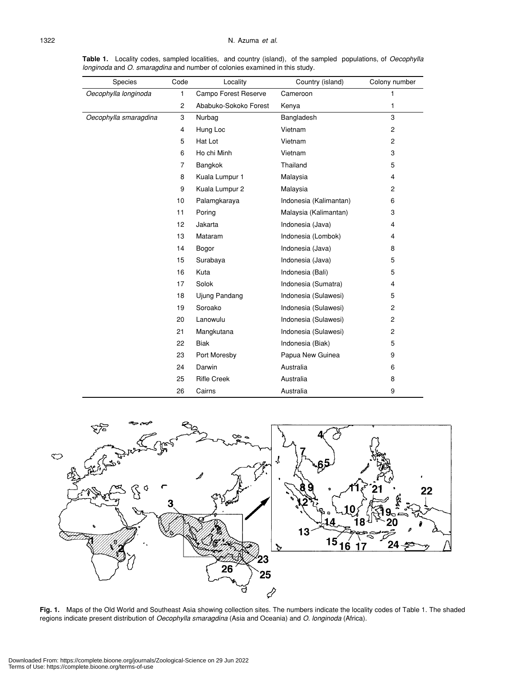#### 1322 N. Azuma *et al.*

Species Code Locality Country (island) Colony number *Oecophylla longinoda* 1 Campo Forest Reserve Cameroon 1 2 Ababuko-Sokoko Forest Kenya 1 **Oecophylla smaragdina** 3 Nurbag Bangladesh 3 3 3 4 Hung Loc Vietnam 2 5 Hat Lot Vietnam 2 6 Ho chi Minh Vietnam 3 7 Bangkok **Thailand** 5 8 Kuala Lumpur 1 Malaysia 4 9 Kuala Lumpur 2 Malaysia 2 10 Palamgkaraya Indonesia (Kalimantan) 6 11 Poring Malaysia (Kalimantan) 3 12 Jakarta 12 Indonesia (Java) 4 13 Mataram **Indonesia (Lombok)** 4 14 Bogor Indonesia (Java) 8 15 Surabaya **Indonesia (Java)** 5 16 Kuta **Indonesia** (Bali) 5 17 Solok Indonesia (Sumatra) 4 18 Ujung Pandang Indonesia (Sulawesi) 5 19 Soroako Indonesia (Sulawesi) 2 20 Lanowulu Indonesia (Sulawesi) 2 21 Mangkutana **Indonesia (Sulawesi)** 2 22 Biak Indonesia (Biak) 5 23 Port Moresby Papua New Guinea 9 24 Darwin Australia 6 25 Rifle Creek Australia 8 26 Cairns Australia 9





**Fig. 1.** Maps of the Old World and Southeast Asia showing collection sites. The numbers indicate the locality codes of Table 1. The shaded regions indicate present distribution of *Oecophylla smaragdina* (Asia and Oceania) and *O. longinoda* (Africa).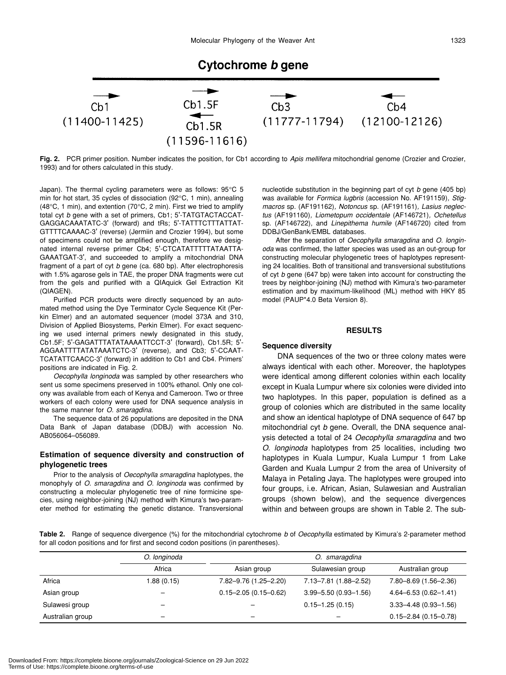

**Fig. 2.** PCR primer position. Number indicates the position, for Cb1 according to *Apis mellifera* mitochondrial genome (Crozier and Crozier, 1993) and for others calculated in this study.

Japan). The thermal cycling parameters were as follows: 95°C 5 min for hot start, 35 cycles of dissociation (92°C, 1 min), annealing (48°C, 1 min), and extention (70°C, 2 min). First we tried to amplify total cyt *b* gene with a set of primers, Cb1; 5'-TATGTACTACCAT-GAGGACAAATATC-3' (forward) and tRs; 5'-TATTTCTTTATTAT-GTTTTCAAAAC-3' (reverse) (Jermiin and Crozier 1994), but some of specimens could not be amplified enough, therefore we designated internal reverse primer Cb4; 5'-CTCATATTTTTATAATTA-GAAATGAT-3', and succeeded to amplify a mitochondrial DNA fragment of a part of cyt *b* gene (ca. 680 bp). After electrophoresis with 1.5% agarose gels in TAE, the proper DNA fragments were cut from the gels and purified with a QIAquick Gel Extraction Kit (QIAGEN).

Purified PCR products were directly sequenced by an automated method using the Dye Terminator Cycle Sequence Kit (Perkin Elmer) and an automated sequencer (model 373A and 310, Division of Applied Biosystems, Perkin Elmer). For exact sequencing we used internal primers newly designated in this study, Cb1.5F; 5'-GAGATTTATATAAAATTCCT-3' (forward), Cb1.5R; 5'- AGGAATTTTATATAAATCTC-3' (reverse), and Cb3; 5'-CCAAT-TCATATTCAACC-3' (forward) in addition to Cb1 and Cb4. Primers' positions are indicated in Fig. 2.

*Oecophylla longinoda* was sampled by other researchers who sent us some specimens preserved in 100% ethanol. Only one colony was available from each of Kenya and Cameroon. Two or three workers of each colony were used for DNA sequence analysis in the same manner for *O. smaragdina*.

The sequence data of 26 populations are deposited in the DNA Data Bank of Japan database (DDBJ) with accession No. AB056064–056089.

# **Estimation of sequence diversity and construction of phylogenetic trees**

Prior to the analysis of *Oecophylla smaragdina* haplotypes, the monophyly of *O. smaragdina* and *O. longinoda* was confirmed by constructing a molecular phylogenetic tree of nine formicine species, using neighbor-joining (NJ) method with Kimura's two-parameter method for estimating the genetic distance. Transversional nucleotide substitution in the beginning part of cyt *b* gene (405 bp) was available for *Formica lugbris* (accession No. AF191159)*, Stigmacros* sp. (AF191162)*, Notoncus* sp*.* (AF191161)*, Lasius neglectus* (AF191160)*, Liometopum occidentale* (AF146721)*, Ochetellus* sp*.* (AF146722)*,* and *Linepithema humile* (AF146720) cited from DDBJ/GenBank/EMBL databases.

After the separation of *Oecophylla smaragdina* and *O. longinoda* was confirmed, the latter species was used as an out-group for constructing molecular phylogenetic trees of haplotypes representing 24 localities. Both of transitional and transversional substitutions of cyt *b* gene (647 bp) were taken into account for constructing the trees by neighbor-joining (NJ) method with Kimura's two-parameter estimation and by maximum-likelihood (ML) method with HKY 85 model (PAUP\*4.0 Beta Version 8).

#### **RESULTS**

# **Sequence diversity**

DNA sequences of the two or three colony mates were always identical with each other. Moreover, the haplotypes were identical among different colonies within each locality except in Kuala Lumpur where six colonies were divided into two haplotypes. In this paper, population is defined as a group of colonies which are distributed in the same locality and show an identical haplotype of DNA sequence of 647 bp mitochondrial cyt *b* gene. Overall, the DNA sequence analysis detected a total of 24 *Oecophylla smaragdina* and two *O. longinoda* haplotypes from 25 localities, including two haplotypes in Kuala Lumpur, Kuala Lumpur 1 from Lake Garden and Kuala Lumpur 2 from the area of University of Malaya in Petaling Jaya. The haplotypes were grouped into four groups, i.e. African, Asian, Sulawesian and Australian groups (shown below), and the sequence divergences within and between groups are shown in Table 2. The sub-

**Table 2.** Range of sequence divergence (%) for the mitochondrial cytochrome *b* of *Oecophylla* estimated by Kimura's 2-parameter method for all codon positions and for first and second codon positions (in parentheses).

|                  | O. longinoda | O. smaragdina              |                            |                               |
|------------------|--------------|----------------------------|----------------------------|-------------------------------|
|                  | Africa       | Asian group                | Sulawesian group           | Australian group              |
| Africa           | 1.88 (0.15)  | 7.82-9.76 (1.25-2.20)      | 7.13-7.81 (1.88-2.52)      | $7.80 - 8.69$ (1.56-2.36)     |
| Asian group      | $-$          | $0.15 - 2.05(0.15 - 0.62)$ | $3.99 - 5.50(0.93 - 1.56)$ | $4.64 - 6.53(0.62 - 1.41)$    |
| Sulawesi group   |              |                            | $0.15 - 1.25(0.15)$        | $3.33 - 4.48(0.93 - 1.56)$    |
| Australian group | -            | -                          | -                          | $0.15 - 2.84$ (0.15 $-0.78$ ) |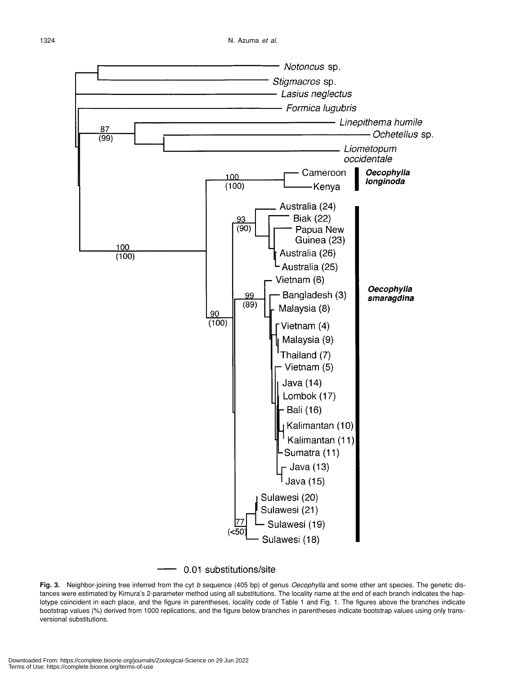

0.01 substitutions/site

**Fig. 3.** Neighbor-joining tree inferred from the cyt *b* sequence (405 bp) of genus *Oecophylla* and some other ant species. The genetic distances were estimated by Kimura's 2-parameter method using all substitutions. The locality name at the end of each branch indicates the haplotype coincident in each place, and the figure in parentheses, locality code of Table 1 and Fig. 1. The figures above the branches indicate bootstrap values (%) derived from 1000 replications, and the figure below branches in parentheses indicate bootstrap values using only transversional substitutions.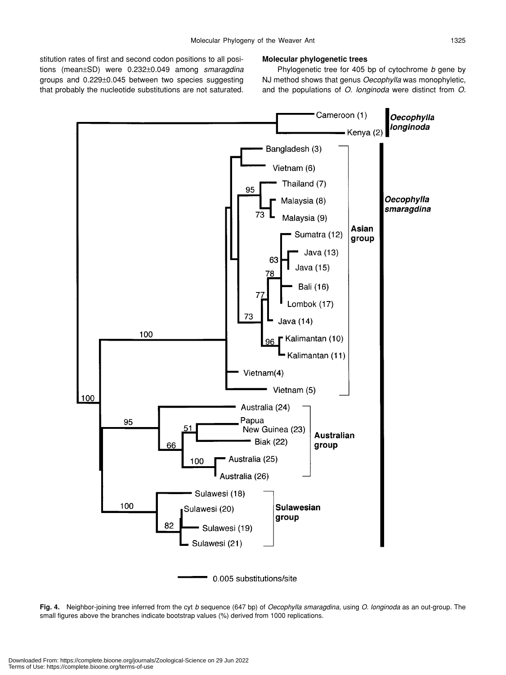stitution rates of first and second codon positions to all positions (mean±SD) were 0.232±0.049 among *smaragdina* groups and 0.229±0.045 between two species suggesting that probably the nucleotide substitutions are not saturated.

# **Molecular phylogenetic trees**

Phylogenetic tree for 405 bp of cytochrome *b* gene by NJ method shows that genus *Oecophylla* was monophyletic, and the populations of *O. longinoda* were distinct from *O.*



**Fig. 4.** Neighbor-joining tree inferred from the cyt *b* sequence (647 bp) of *Oecophylla smaragdina*, using *O. longinoda* as an out-group. The small figures above the branches indicate bootstrap values (%) derived from 1000 replications.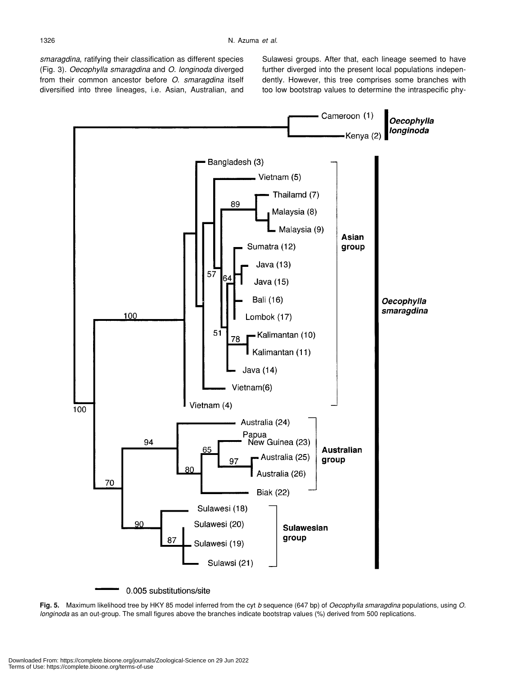*smaragdina*, ratifying their classification as different species (Fig. 3). *Oecophylla smaragdina* and *O. longinoda* diverged from their common ancestor before *O. smaragdina* itself diversified into three lineages, i.e. Asian, Australian, and Sulawesi groups. After that, each lineage seemed to have further diverged into the present local populations independently. However, this tree comprises some branches with too low bootstrap values to determine the intraspecific phy-



**Fig. 5.** Maximum likelihood tree by HKY 85 model inferred from the cyt *b* sequence (647 bp) of *Oecophylla smaragdina* populations, using *O. longinoda* as an out-group. The small figures above the branches indicate bootstrap values (%) derived from 500 replications.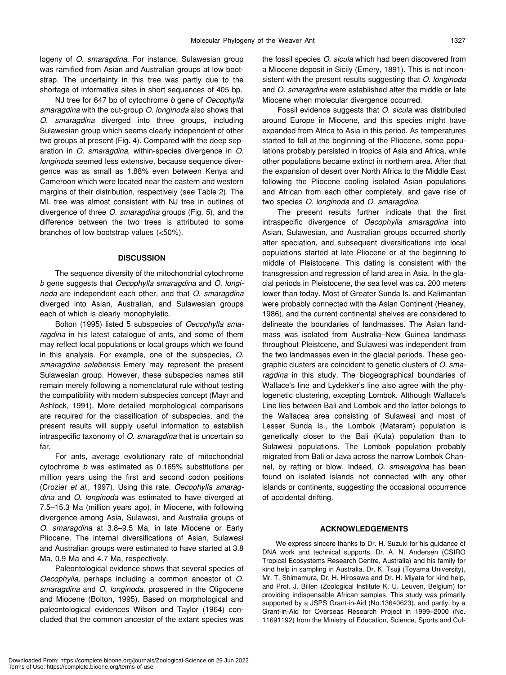logeny of *O. smaragdina*. For instance, Sulawesian group was ramified from Asian and Australian groups at low bootstrap. The uncertainty in this tree was partly due to the shortage of informative sites in short sequences of 405 bp.

NJ tree for 647 bp of cytochrome *b* gene of *Oecophylla smaragdina* with the out-group *O. longinoda* also shows that *O. smaragdina* diverged into three groups, including Sulawesian group which seems clearly independent of other two groups at present (Fig. 4). Compared with the deep separation in *O. smaragdina*, within-species divergence in *O. longinoda* seemed less extensive, because sequence divergence was as small as 1.88% even between Kenya and Cameroon which were located near the eastern and western margins of their distribution, respectively (see Table 2). The ML tree was almost consistent with NJ tree in outlines of divergence of three *O. smaragdina* groups (Fig. 5), and the difference between the two trees is attributed to some branches of low bootstrap values (<50%).

#### **DISCUSSION**

The sequence diversity of the mitochondrial cytochrome *b* gene suggests that *Oecophylla smaragdina* and *O. longinoda* are independent each other, and that *O. smaragdina* diverged into Asian, Australian, and Sulawesian groups each of which is clearly monophyletic.

Bolton (1995) listed 5 subspecies of *Oecophylla smaragdina* in his latest catalogue of ants, and some of them may reflect local populations or local groups which we found in this analysis. For example, one of the subspecies, *O. smaragdina selebensis* Emery may represent the present Sulawesian group. However, these subspecies names still remain merely following a nomenclatural rule without testing the compatibility with modern subspecies concept (Mayr and Ashlock, 1991). More detailed morphological comparisons are required for the classification of subspecies, and the present results will supply useful information to establish intraspecific taxonomy of *O. smaragdina* that is uncertain so far.

For ants, average evolutionary rate of mitochondrial cytochrome *b* was estimated as 0.165% substitutions per million years using the first and second codon positions (Crozier *et al.,* 1997). Using this rate, *Oecophylla smaragdina* and *O. longinoda* was estimated to have diverged at 7.5–15.3 Ma (million years ago), in Miocene, with following divergence among Asia, Sulawesi, and Australia groups of *O. smaragdina* at 3.8–9.5 Ma, in late Miocene or Early Pliocene. The internal diversifications of Asian, Sulawesi and Australian groups were estimated to have started at 3.8 Ma, 0.9 Ma and 4.7 Ma, respectively.

Paleontological evidence shows that several species of *Oecophylla,* perhaps including a common ancestor of *O. smaragdina* and *O. longinoda*, prospered in the Oligocene and Miocene (Bolton, 1995). Based on morphological and paleontological evidences Wilson and Taylor (1964) concluded that the common ancestor of the extant species was

the fossil species *O. sicula* which had been discovered from a Miocene deposit in Sicily (Emery, 1891). This is not inconsistent with the present results suggesting that *O. longinoda* and *O. smaragdina* were established after the middle or late Miocene when molecular divergence occurred.

Fossil evidence suggests that *O. sicula* was distributed around Europe in Miocene, and this species might have expanded from Africa to Asia in this period. As temperatures started to fall at the beginning of the Pliocene, some populations probably persisted in tropics of Asia and Africa, while other populations became extinct in northern area. After that the expansion of desert over North Africa to the Middle East following the Pliocene cooling isolated Asian populations and African from each other completely, and gave rise of two species *O. longinoda* and *O. smaragdina.*

The present results further indicate that the first intraspecific divergence of *Oecophylla smaragdina* into Asian, Sulawesian, and Australian groups occurred shortly after speciation, and subsequent diversifications into local populations started at late Pliocene or at the beginning to middle of Pleistocene. This dating is consistent with the transgression and regression of land area in Asia. In the glacial periods in Pleistocene, the sea level was ca. 200 meters lower than today. Most of Greater Sunda Is. and Kalimantan were probably connected with the Asian Continent (Heaney, 1986), and the current continental shelves are considered to delineate the boundaries of landmasses. The Asian landmass was isolated from Australia–New Guinea landmass throughout Pleistcene, and Sulawesi was independent from the two landmasses even in the glacial periods. These geographic clusters are coincident to genetic clusters of *O. smaragdina* in this study. The biogeographical boundaries of Wallace's line and Lydekker's line also agree with the phylogenetic clustering, excepting Lombok. Although Wallace's Line lies between Bali and Lombok and the latter belongs to the Wallacea area consisting of Sulawesi and most of Lesser Sunda Is., the Lombok (Mataram) population is genetically closer to the Bali (Kuta) population than to Sulawesi populations. The Lombok population probably migrated from Bali or Java across the narrow Lombok Channel, by rafting or blow. Indeed, *O. smaragdina* has been found on isolated islands not connected with any other islands or continents, suggesting the occasional occurrence of accidental drifting.

#### **ACKNOWLEDGEMENTS**

We express sincere thanks to Dr. H. Suzuki for his guidance of DNA work and technical supports, Dr. A. N. Andersen (CSIRO Tropical Ecosystems Research Centre, Australia) and his family for kind help in sampling in Australia, Dr. K. Tsuji (Toyama University), Mr. T. Shimamura, Dr. H. Hirosawa and Dr. H. Miyata for kind help, and Prof. J. Billen (Zoological Institute K. U. Leuven, Belgium) for providing indispensable African samples. This study was primarily supported by a JSPS Grant-in-Aid (No.13640623), and partly, by a Grant-in-Aid for Overseas Research Project in 1999–2000 (No. 11691192) from the Ministry of Education, Science, Sports and Cul